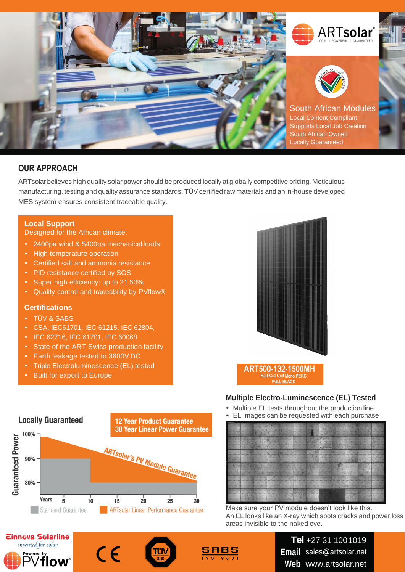

# **OUR APPROACH**

ARTsolar believes high quality solar power should be produced locally at globally competitive pricing. Meticulous manufacturing, testing and quality assurance standards, TÜV certified raw materials and an in-house developed MES system ensures consistent traceable quality.

### **Local Support**

Designed for the African climate:

- 2400pa wind & 5400pa mechanical loads
- High temperature operation
- Certified salt and ammonia resistance
- PID resistance certified by SGS
- Super high efficiency: up to 21.50%
- Quality control and traceability by PVflow®

#### **Certifications**

- TÜV & SABS
- CSA, IEC61701, IEC 61215, IEC 62804,
- IEC 62716, IEC 61701, IEC 60068
- State of the ART Swiss production facility
- Earth leakage tested to 3600V DC
- Triple Electroluminescence (EL) tested
- Built for export to Europe



#### **Multiple Electro-Luminescence (EL) Tested**

- Multiple EL tests throughout the production line
- EL Images can be requested with each purchase



Make sure your PV module doesn't look like this. An EL looks like an X-ray which spots cracks and power loss areas invisible to the naked eye.









**Tel** +27 31 1001019 **Email**  [sales@artsolar.net](mailto:sales@artsolar.net) **Web** [www.artsolar.net](http://www.artsolar.net/)